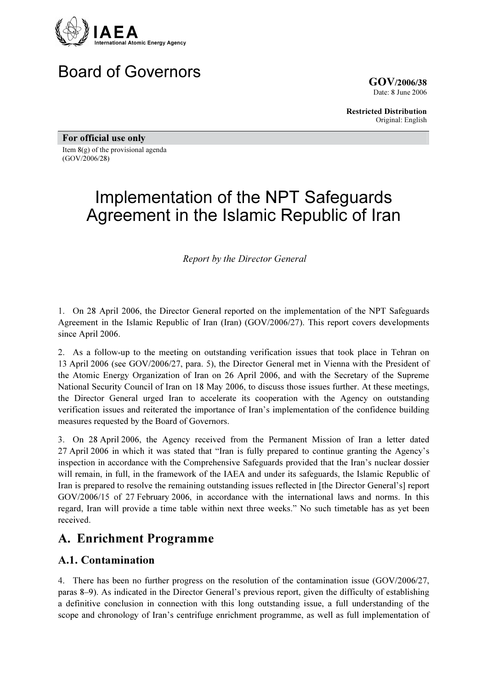

# Board of Governors

GOV/2006/38 Date: 8 June 2006

Restricted Distribution Original: English

For official use only

Item 8(g) of the provisional agenda (GOV/2006/28)

# Implementation of the NPT Safeguards Agreement in the Islamic Republic of Iran

Report by the Director General

1. On 28 April 2006, the Director General reported on the implementation of the NPT Safeguards Agreement in the Islamic Republic of Iran (Iran) (GOV/2006/27). This report covers developments since April 2006.

2. As a follow-up to the meeting on outstanding verification issues that took place in Tehran on 13 April 2006 (see GOV/2006/27, para. 5), the Director General met in Vienna with the President of the Atomic Energy Organization of Iran on 26 April 2006, and with the Secretary of the Supreme National Security Council of Iran on 18 May 2006, to discuss those issues further. At these meetings, the Director General urged Iran to accelerate its cooperation with the Agency on outstanding verification issues and reiterated the importance of Iran's implementation of the confidence building measures requested by the Board of Governors.

3. On 28 April 2006, the Agency received from the Permanent Mission of Iran a letter dated 27 April 2006 in which it was stated that "Iran is fully prepared to continue granting the Agency's inspection in accordance with the Comprehensive Safeguards provided that the Iran's nuclear dossier will remain, in full, in the framework of the IAEA and under its safeguards, the Islamic Republic of Iran is prepared to resolve the remaining outstanding issues reflected in [the Director General's] report GOV/2006/15 of 27 February 2006, in accordance with the international laws and norms. In this regard, Iran will provide a time table within next three weeks." No such timetable has as yet been received.

### A. Enrichment Programme

#### A.1. Contamination

4. There has been no further progress on the resolution of the contamination issue (GOV/2006/27, paras 8–9). As indicated in the Director General's previous report, given the difficulty of establishing a definitive conclusion in connection with this long outstanding issue, a full understanding of the scope and chronology of Iran's centrifuge enrichment programme, as well as full implementation of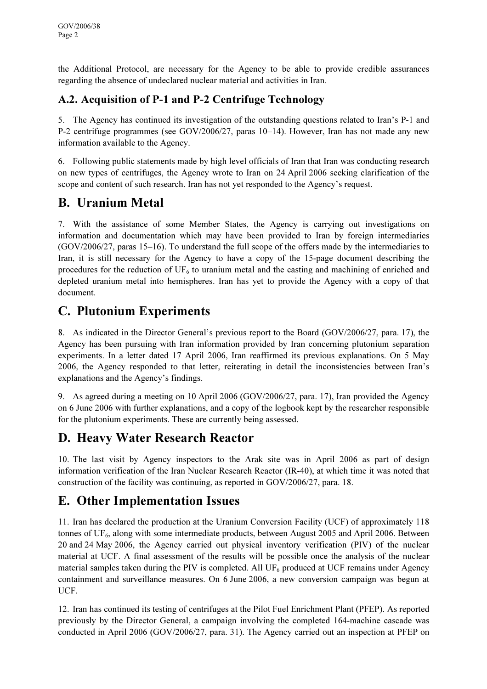the Additional Protocol, are necessary for the Agency to be able to provide credible assurances regarding the absence of undeclared nuclear material and activities in Iran.

#### A.2. Acquisition of P-1 and P-2 Centrifuge Technology

5. The Agency has continued its investigation of the outstanding questions related to Iran's P-1 and P-2 centrifuge programmes (see GOV/2006/27, paras 10–14). However, Iran has not made any new information available to the Agency.

6. Following public statements made by high level officials of Iran that Iran was conducting research on new types of centrifuges, the Agency wrote to Iran on 24 April 2006 seeking clarification of the scope and content of such research. Iran has not yet responded to the Agency's request.

# B. Uranium Metal

7. With the assistance of some Member States, the Agency is carrying out investigations on information and documentation which may have been provided to Iran by foreign intermediaries (GOV/2006/27, paras 15–16). To understand the full scope of the offers made by the intermediaries to Iran, it is still necessary for the Agency to have a copy of the 15-page document describing the procedures for the reduction of  $UF_6$  to uranium metal and the casting and machining of enriched and depleted uranium metal into hemispheres. Iran has yet to provide the Agency with a copy of that document.

# C. Plutonium Experiments

8. As indicated in the Director General's previous report to the Board (GOV/2006/27, para. 17), the Agency has been pursuing with Iran information provided by Iran concerning plutonium separation experiments. In a letter dated 17 April 2006, Iran reaffirmed its previous explanations. On 5 May 2006, the Agency responded to that letter, reiterating in detail the inconsistencies between Iran's explanations and the Agency's findings.

9. As agreed during a meeting on 10 April 2006 (GOV/2006/27, para. 17), Iran provided the Agency on 6 June 2006 with further explanations, and a copy of the logbook kept by the researcher responsible for the plutonium experiments. These are currently being assessed.

# D. Heavy Water Research Reactor

10. The last visit by Agency inspectors to the Arak site was in April 2006 as part of design information verification of the Iran Nuclear Research Reactor (IR-40), at which time it was noted that construction of the facility was continuing, as reported in GOV/2006/27, para. 18.

# E. Other Implementation Issues

11. Iran has declared the production at the Uranium Conversion Facility (UCF) of approximately 118 tonnes of  $UF_6$ , along with some intermediate products, between August 2005 and April 2006. Between 20 and 24 May 2006, the Agency carried out physical inventory verification (PIV) of the nuclear material at UCF. A final assessment of the results will be possible once the analysis of the nuclear material samples taken during the PIV is completed. All  $UF_6$  produced at UCF remains under Agency containment and surveillance measures. On 6 June 2006, a new conversion campaign was begun at UCF.

12. Iran has continued its testing of centrifuges at the Pilot Fuel Enrichment Plant (PFEP). As reported previously by the Director General, a campaign involving the completed 164-machine cascade was conducted in April 2006 (GOV/2006/27, para. 31). The Agency carried out an inspection at PFEP on